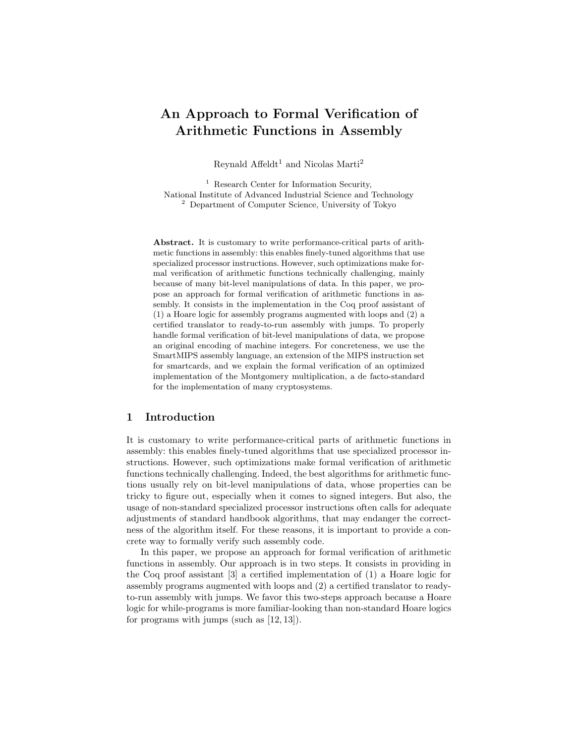# An Approach to Formal Verification of Arithmetic Functions in Assembly

Reynald Affeldt<sup>1</sup> and Nicolas Marti<sup>2</sup>

<sup>1</sup> Research Center for Information Security, National Institute of Advanced Industrial Science and Technology <sup>2</sup> Department of Computer Science, University of Tokyo

Abstract. It is customary to write performance-critical parts of arithmetic functions in assembly: this enables finely-tuned algorithms that use specialized processor instructions. However, such optimizations make formal verification of arithmetic functions technically challenging, mainly because of many bit-level manipulations of data. In this paper, we propose an approach for formal verification of arithmetic functions in assembly. It consists in the implementation in the Coq proof assistant of (1) a Hoare logic for assembly programs augmented with loops and (2) a certified translator to ready-to-run assembly with jumps. To properly handle formal verification of bit-level manipulations of data, we propose an original encoding of machine integers. For concreteness, we use the SmartMIPS assembly language, an extension of the MIPS instruction set for smartcards, and we explain the formal verification of an optimized implementation of the Montgomery multiplication, a de facto-standard for the implementation of many cryptosystems.

### 1 Introduction

It is customary to write performance-critical parts of arithmetic functions in assembly: this enables finely-tuned algorithms that use specialized processor instructions. However, such optimizations make formal verification of arithmetic functions technically challenging. Indeed, the best algorithms for arithmetic functions usually rely on bit-level manipulations of data, whose properties can be tricky to figure out, especially when it comes to signed integers. But also, the usage of non-standard specialized processor instructions often calls for adequate adjustments of standard handbook algorithms, that may endanger the correctness of the algorithm itself. For these reasons, it is important to provide a concrete way to formally verify such assembly code.

In this paper, we propose an approach for formal verification of arithmetic functions in assembly. Our approach is in two steps. It consists in providing in the Coq proof assistant [3] a certified implementation of (1) a Hoare logic for assembly programs augmented with loops and (2) a certified translator to readyto-run assembly with jumps. We favor this two-steps approach because a Hoare logic for while-programs is more familiar-looking than non-standard Hoare logics for programs with jumps (such as [12, 13]).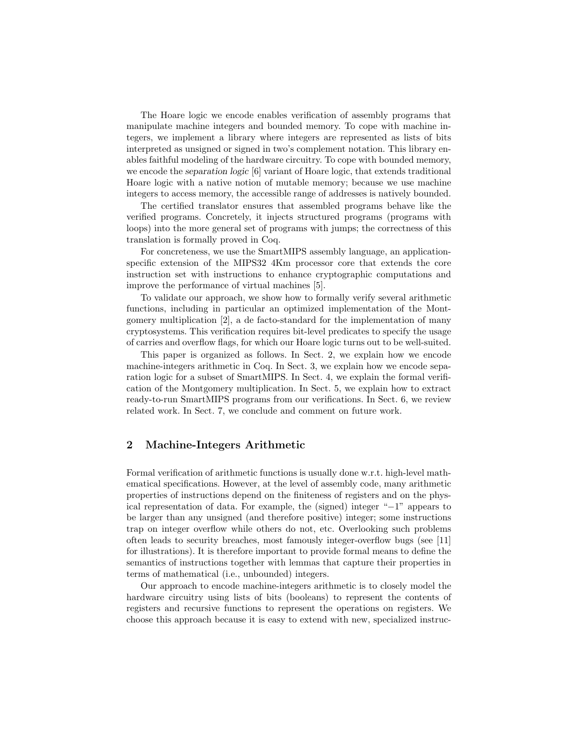The Hoare logic we encode enables verification of assembly programs that manipulate machine integers and bounded memory. To cope with machine integers, we implement a library where integers are represented as lists of bits interpreted as unsigned or signed in two's complement notation. This library enables faithful modeling of the hardware circuitry. To cope with bounded memory, we encode the separation logic [6] variant of Hoare logic, that extends traditional Hoare logic with a native notion of mutable memory; because we use machine integers to access memory, the accessible range of addresses is natively bounded.

The certified translator ensures that assembled programs behave like the verified programs. Concretely, it injects structured programs (programs with loops) into the more general set of programs with jumps; the correctness of this translation is formally proved in Coq.

For concreteness, we use the SmartMIPS assembly language, an applicationspecific extension of the MIPS32 4Km processor core that extends the core instruction set with instructions to enhance cryptographic computations and improve the performance of virtual machines [5].

To validate our approach, we show how to formally verify several arithmetic functions, including in particular an optimized implementation of the Montgomery multiplication [2], a de facto-standard for the implementation of many cryptosystems. This verification requires bit-level predicates to specify the usage of carries and overflow flags, for which our Hoare logic turns out to be well-suited.

This paper is organized as follows. In Sect. 2, we explain how we encode machine-integers arithmetic in Coq. In Sect. 3, we explain how we encode separation logic for a subset of SmartMIPS. In Sect. 4, we explain the formal verification of the Montgomery multiplication. In Sect. 5, we explain how to extract ready-to-run SmartMIPS programs from our verifications. In Sect. 6, we review related work. In Sect. 7, we conclude and comment on future work.

# 2 Machine-Integers Arithmetic

Formal verification of arithmetic functions is usually done w.r.t. high-level mathematical specifications. However, at the level of assembly code, many arithmetic properties of instructions depend on the finiteness of registers and on the physical representation of data. For example, the (signed) integer "−1" appears to be larger than any unsigned (and therefore positive) integer; some instructions trap on integer overflow while others do not, etc. Overlooking such problems often leads to security breaches, most famously integer-overflow bugs (see [11] for illustrations). It is therefore important to provide formal means to define the semantics of instructions together with lemmas that capture their properties in terms of mathematical (i.e., unbounded) integers.

Our approach to encode machine-integers arithmetic is to closely model the hardware circuitry using lists of bits (booleans) to represent the contents of registers and recursive functions to represent the operations on registers. We choose this approach because it is easy to extend with new, specialized instruc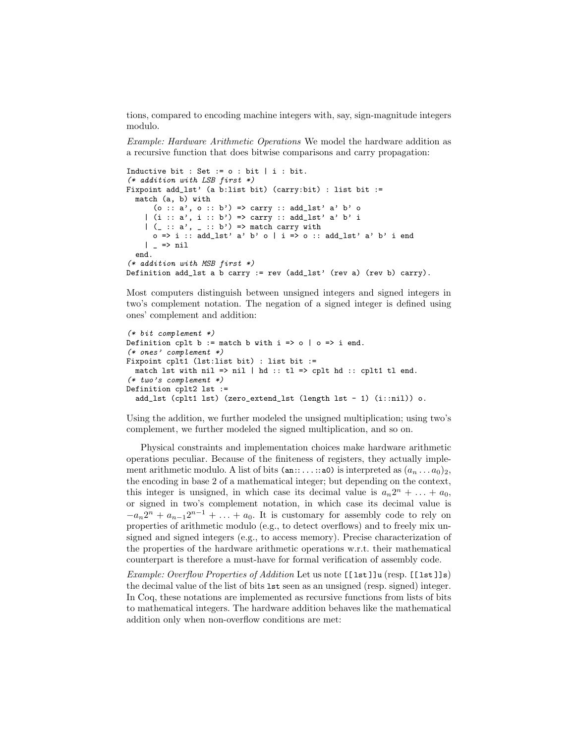tions, compared to encoding machine integers with, say, sign-magnitude integers modulo.

Example: Hardware Arithmetic Operations We model the hardware addition as a recursive function that does bitwise comparisons and carry propagation:

```
Inductive bit : Set := o : bit | i : bit.(* addition with LSB first *)
Fixpoint add_lst' (a b:list bit) (carry:bit) : list bit :=
 match (a, b) with
      (o :: a', o :: b') => carry :: add\_lst' a' b' o
    | (i :: a', i :: b') => carry :: add_lst' a' b' i
    | (_ :: a', _ :: b') => match carry with
      o \Rightarrow i :: add\_lst' a' b' o | i \Rightarrow o :: add\_lst' a' b' i end| = > nil
  end.
(* addition with MSB first *)Definition add_lst a b carry := rev (add_lst' (rev a) (rev b) carry).
```
Most computers distinguish between unsigned integers and signed integers in two's complement notation. The negation of a signed integer is defined using ones' complement and addition:

```
(* bit complement *)
Definition cplt b := match b with i \Rightarrow o \mid o \Rightarrow i end.
(* ones' complement *)
Fixpoint cplt1 (lst:list bit) : list bit :=
 match lst with nil => nil | hd :: tl => cplt hd :: cplt1 tl end.
(* two's complement *)Definition cplt2 lst :=
  add_lst (cplt1 lst) (zero_extend_lst (length lst - 1) (i::nil)) o.
```
Using the addition, we further modeled the unsigned multiplication; using two's complement, we further modeled the signed multiplication, and so on.

Physical constraints and implementation choices make hardware arithmetic operations peculiar. Because of the finiteness of registers, they actually implement arithmetic modulo. A list of bits (an::...::a0) is interpreted as  $(a_n \ldots a_0)_2$ , the encoding in base 2 of a mathematical integer; but depending on the context, this integer is unsigned, in which case its decimal value is  $a_n 2^n + \ldots + a_0$ , or signed in two's complement notation, in which case its decimal value is  $-a_n2^n + a_{n-1}2^{n-1} + \ldots + a_0$ . It is customary for assembly code to rely on properties of arithmetic modulo (e.g., to detect overflows) and to freely mix unsigned and signed integers (e.g., to access memory). Precise characterization of the properties of the hardware arithmetic operations w.r.t. their mathematical counterpart is therefore a must-have for formal verification of assembly code.

Example: Overflow Properties of Addition Let us note [[1st]]u (resp. [[1st]]s) the decimal value of the list of bits lst seen as an unsigned (resp. signed) integer. In Coq, these notations are implemented as recursive functions from lists of bits to mathematical integers. The hardware addition behaves like the mathematical addition only when non-overflow conditions are met: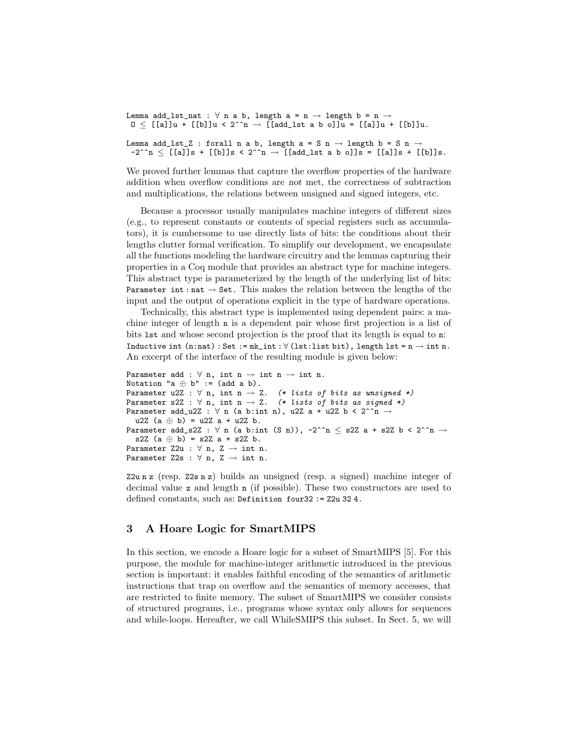Lemma add\_lst\_nat :  $\forall$  n a b, length a = n  $\rightarrow$  length b = n  $\rightarrow$  $0 \leq [[a]]u + [[b]]u \leq 2^m \Rightarrow [[add\_lst \ a \ b \ o]]u = [[a]]u + [[b]]u.$ Lemma add\_lst\_Z : forall n a b, length a = S n  $\rightarrow$  length b = S n  $\rightarrow$  $-2^{\hat{m}} \leq$  [[a]]s + [[b]]s <  $2^{\hat{m}} \to$  [[add\_lst a b o]]s = [[a]]s + [[b]]s.

We proved further lemmas that capture the overflow properties of the hardware addition when overflow conditions are not met, the correctness of subtraction and multiplications, the relations between unsigned and signed integers, etc.

Because a processor usually manipulates machine integers of different sizes (e.g., to represent constants or contents of special registers such as accumulators), it is cumbersome to use directly lists of bits: the conditions about their lengths clutter formal verification. To simplify our development, we encapsulate all the functions modeling the hardware circuitry and the lemmas capturing their properties in a Coq module that provides an abstract type for machine integers. This abstract type is parameterized by the length of the underlying list of bits: Parameter int : nat  $\rightarrow$  Set. This makes the relation between the lengths of the input and the output of operations explicit in the type of hardware operations.

Technically, this abstract type is implemented using dependent pairs: a machine integer of length n is a dependent pair whose first projection is a list of bits lst and whose second projection is the proof that its length is equal to n: Inductive int  $(n:nat)$ : Set := mk\_int :  $\forall$  (1st:list bit), length 1st = n  $\rightarrow$  int n. An excerpt of the interface of the resulting module is given below:

```
Parameter add : \forall n, int n \rightarrow int n \rightarrow int n.
Notation "a \oplus b" := (add a b).
Parameter u2Z : \forall n, int n \rightarrow Z. (* lists of bits as unsigned *)
Parameter s2Z : \forall n, int n \rightarrow Z. (* lists of bits as signed *)
Parameter add_u2Z : \forall n (a b:int n), u2Z a + u2Z b < 2<sup>\land</sup>n \rightarrowu2Z (a ⊕ b) = u2Z a + u2Z b.
Parameter add_s2Z : \forall n (a b:int (S n)), -2^^n \leq s2Z a + s2Z b < 2^^n \rightarrows2Z (a \oplus b) = s2Z a + s2Z b.
Parameter Z2u : \forall n, Z \rightarrow int n.
Parameter Z2s : \forall n, Z \rightarrow int n.
```
 $Z_2u$  n z (resp.  $Z_2s$  n z) builds an unsigned (resp. a signed) machine integer of decimal value z and length n (if possible). These two constructors are used to defined constants, such as: Definition four32 := Z2u 32 4.

# 3 A Hoare Logic for SmartMIPS

In this section, we encode a Hoare logic for a subset of SmartMIPS [5]. For this purpose, the module for machine-integer arithmetic introduced in the previous section is important: it enables faithful encoding of the semantics of arithmetic instructions that trap on overflow and the semantics of memory accesses, that are restricted to finite memory. The subset of SmartMIPS we consider consists of structured programs, i.e., programs whose syntax only allows for sequences and while-loops. Hereafter, we call WhileSMIPS this subset. In Sect. 5, we will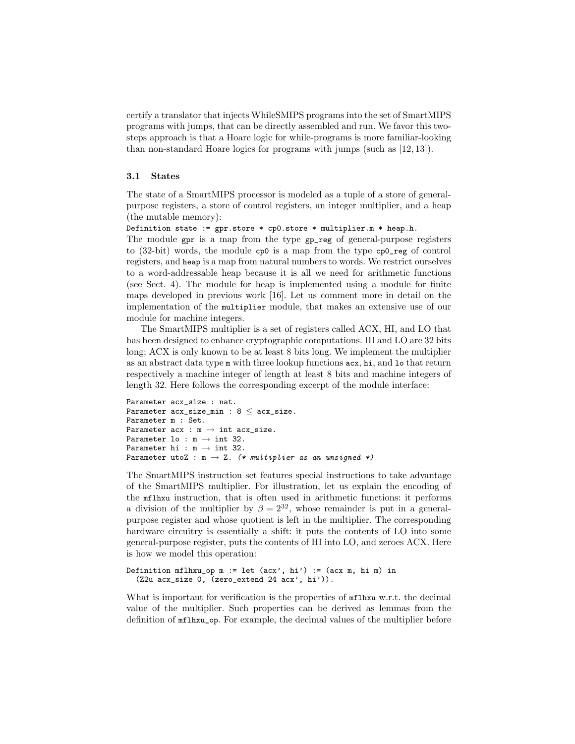certify a translator that injects WhileSMIPS programs into the set of SmartMIPS programs with jumps, that can be directly assembled and run. We favor this twosteps approach is that a Hoare logic for while-programs is more familiar-looking than non-standard Hoare logics for programs with jumps (such as [12, 13]).

### 3.1 States

The state of a SmartMIPS processor is modeled as a tuple of a store of generalpurpose registers, a store of control registers, an integer multiplier, and a heap (the mutable memory):

Definition state :=  $gpr.store * cp0.store * multiplier.m * heap.h$ .

The module gpr is a map from the type gp\_reg of general-purpose registers to (32-bit) words, the module cp0 is a map from the type cp0\_reg of control registers, and heap is a map from natural numbers to words. We restrict ourselves to a word-addressable heap because it is all we need for arithmetic functions (see Sect. 4). The module for heap is implemented using a module for finite maps developed in previous work [16]. Let us comment more in detail on the implementation of the multiplier module, that makes an extensive use of our module for machine integers.

The SmartMIPS multiplier is a set of registers called ACX, HI, and LO that has been designed to enhance cryptographic computations. HI and LO are 32 bits long; ACX is only known to be at least 8 bits long. We implement the multiplier as an abstract data type m with three lookup functions acx, hi, and lo that return respectively a machine integer of length at least 8 bits and machine integers of length 32. Here follows the corresponding excerpt of the module interface:

```
Parameter acx_size : nat.
Parameter acx_size_min : 8 \leq acx_size.
Parameter m : Set.
Parameter acx : m \rightarrow int acx\_size.
Parameter lo : m \rightarrow int 32.
Parameter hi : m \rightarrow int 32.
Parameter utoZ : m \rightarrow Z. (* multiplier as an unsigned *)
```
The SmartMIPS instruction set features special instructions to take advantage of the SmartMIPS multiplier. For illustration, let us explain the encoding of the mflhxu instruction, that is often used in arithmetic functions: it performs a division of the multiplier by  $\beta = 2^{32}$ , whose remainder is put in a generalpurpose register and whose quotient is left in the multiplier. The corresponding hardware circuitry is essentially a shift: it puts the contents of LO into some general-purpose register, puts the contents of HI into LO, and zeroes ACX. Here is how we model this operation:

```
Definition mflhxu_op m := let (ax', hi') := (ax m, hi m) in
  (Z2u acx_size 0, (zero_extend 24 acx', hi')).
```
What is important for verification is the properties of  $m$ **flhxu** w.r.t. the decimal value of the multiplier. Such properties can be derived as lemmas from the definition of mflhxu\_op. For example, the decimal values of the multiplier before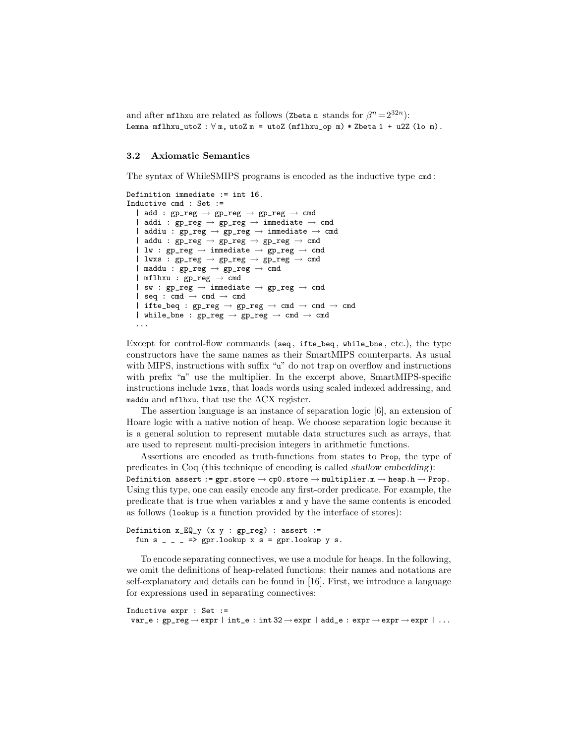and after mflhxu are related as follows (Zbeta n stands for  $\beta^{n} = 2^{32n}$ ): Lemma mflhxu\_utoZ :  $\forall$  m, utoZ m = utoZ (mflhxu\_op m) \* Zbeta 1 + u2Z (lo m).

#### 3.2 Axiomatic Semantics

The syntax of WhileSMIPS programs is encoded as the inductive type cmd :

```
Definition immediate := int 16.
Inductive cmd : Set :=
      | add : gp_{reg} \rightarrow gp_{reg} \rightarrow gp_{reg} \rightarrow cmd| addi : gp_reg \rightarrow gp_reg \rightarrow immediate \rightarrow cmd
     \begin{array}{l} \text{\rm l} \ \ \text{\rm addiu} \ \colon \ \text{\rm gp\_reg} \ \rightarrow \ \text{\rm gp\_reg} \ \rightarrow \ \text{\rm immediate} \ \rightarrow \ \text{\rm cmd} \end{array}| addu : gp\_reg \rightarrow gp\_reg \rightarrow gp\_reg \rightarrow cmd| lw : gp_reg \rightarrow immediate \rightarrow gp_reg \rightarrow cmd
     | lwxs : gp_reg \rightarrow gp_reg \rightarrow gp_reg \rightarrow cmd
     \label{eq:1} \begin{array}{l} \mid \texttt{maddu} \; : \; \texttt{gp\_reg} \; \rightarrow \; \texttt{gp\_reg} \; \rightarrow \; \texttt{cmd} \end{array}| mflhxu : gp_reg → cmd
      | sw : gp_reg \rightarrow immediate \rightarrow gp_reg \rightarrow cmd
     | seq : cmd \rightarrow cmd \rightarrow cmd
     \begin{array}{l} \texttt{\texttt{[i]}} \; \texttt{[i]}} \; \texttt{[i]}} \; \texttt{[i]}} \; \texttt{[i]}} \; \texttt{[i]}} \; \texttt{[i]}} \; \texttt{[i]}} \; \texttt{[i]}} \; \texttt{[i]}} \; \texttt{[i]}} \; \texttt{[i]}} \; \texttt{[i]}} \; \texttt{[i]}} \; \texttt{[i]}} \; \texttt{[i]}} \; \texttt{[i]}} \; \texttt{[i]}} \; \texttt{[i]}} \; \texttt{[i]}} \; \texttt{[i]}} \;\label{eq:1} \begin{array}{l} \text{while\_bne : gp\_reg} \; \rightarrow \; \text{gp\_reg} \; \rightarrow \; \text{cmd} \; \rightarrow \; \text{cmd} \end{array}...
```
Except for control-flow commands (seq, ifte\_beq, while\_bne, etc.), the type constructors have the same names as their SmartMIPS counterparts. As usual with MIPS, instructions with suffix "u" do not trap on overflow and instructions with prefix "m" use the multiplier. In the excerpt above, SmartMIPS-specific instructions include lwxs, that loads words using scaled indexed addressing, and maddu and mflhxu, that use the ACX register.

The assertion language is an instance of separation logic [6], an extension of Hoare logic with a native notion of heap. We choose separation logic because it is a general solution to represent mutable data structures such as arrays, that are used to represent multi-precision integers in arithmetic functions.

Assertions are encoded as truth-functions from states to Prop, the type of predicates in Coq (this technique of encoding is called shallow embedding): Definition assert := gpr.store  $\rightarrow$  cp0.store  $\rightarrow$  multiplier.m  $\rightarrow$  heap.h  $\rightarrow$  Prop. Using this type, one can easily encode any first-order predicate. For example, the predicate that is true when variables x and y have the same contents is encoded as follows (lookup is a function provided by the interface of stores):

```
Definition x_EQ_y (x \, y : gp<sub>_</sub>reg) : assert :=
  fun s \angle \angle = \ge gpr.lookup x s = gpr.lookup y s.
```
To encode separating connectives, we use a module for heaps. In the following, we omit the definitions of heap-related functions: their names and notations are self-explanatory and details can be found in [16]. First, we introduce a language for expressions used in separating connectives:

```
Inductive expr : Set :=
 var_e : gp\_reg \rightarrow expr \mid int_e : int 32 \rightarrow expr \mid add_e : expr \rightarrow expr \rightarrow expr \mid ...
```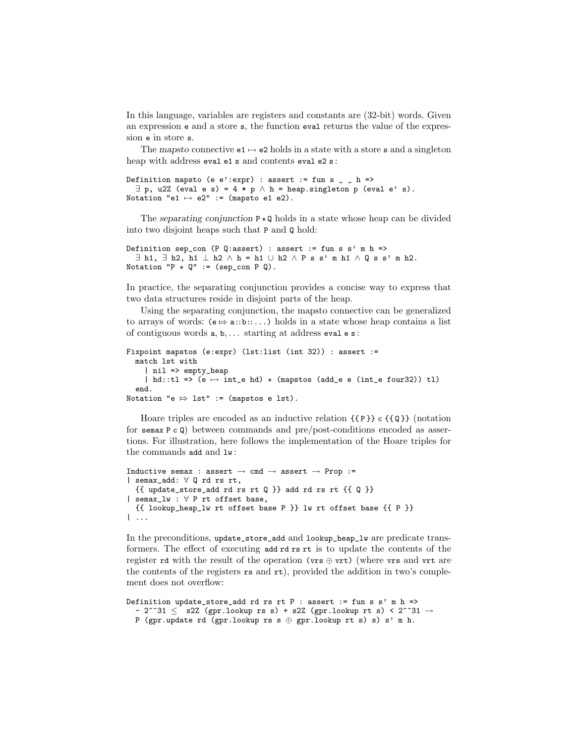In this language, variables are registers and constants are (32-bit) words. Given an expression e and a store s, the function eval returns the value of the expression e in store s.

The mapsto connective  $e1 \mapsto e2$  holds in a state with a store s and a singleton heap with address eval e1 s and contents eval e2 s:

Definition mapsto (e e':expr) : assert := fun s \_ \_ h =>  $\exists$  p, u2Z (eval e s) = 4 \* p  $\land$  h = heap.singleton p (eval e' s). Notation "e1  $\mapsto$  e2" := (mapsto e1 e2).

The separating conjunction  $P \star Q$  holds in a state whose heap can be divided into two disjoint heaps such that P and Q hold:

```
Definition sep_con (P Q:assert) : assert := fun s s' m h =>
  ∃ h1, ∃ h2, h1 ⊥ h2 ∧ h = h1 ∪ h2 ∧ P s s' m h1 ∧ Q s s' m h2.
Notation "P \star Q" := (sep_con P Q).
```
In practice, the separating conjunction provides a concise way to express that two data structures reside in disjoint parts of the heap.

Using the separating conjunction, the mapsto connective can be generalized to arrays of words:  $(e \Rightarrow a::b::...)$  holds in a state whose heap contains a list of contiguous words  $a, b, \ldots$  starting at address eval  $e s$ :

```
Fixpoint mapstos (e:expr) (lst:list (int 32)) : assert :=
 match lst with
    | nil => empty_heap
    | hd::tl => (e \mapsto int_e hd) \star (mapstos (add_e e (int_e four32)) tl)
  end.
Notation "e \Rightarrow lst" := (mapstos e lst).
```
Hoare triples are encoded as an inductive relation {{ P }} c {{ Q }} (notation for semax P c Q) between commands and pre/post-conditions encoded as assertions. For illustration, here follows the implementation of the Hoare triples for the commands add and lw :

```
Inductive semax : assert \rightarrow cmd \rightarrow assert \rightarrow Prop :=
| semax_add: ∀ Q rd rs rt,
  \{ \{ \text{ update\_store\_add rd rs rt } \mathbb{Q} \} \} add rd rs rt \{ \{ \mathbb{Q} \} \}| semax_lw : ∀ P rt offset base,
  {{ lookup_heap_lw rt offset base P }} lw rt offset base {{ P }}
| ...
```
In the preconditions, update\_store\_add and lookup\_heap\_lw are predicate transformers. The effect of executing add rd rs rt is to update the contents of the register rd with the result of the operation (vrs  $\oplus$  vrt) (where vrs and vrt are the contents of the registers rs and rt), provided the addition in two's complement does not overflow:

```
Definition update_store_add rd rs rt P : assert := fun s s' m h =>
  - 2^^31 \leq s2Z (gpr.lookup rs s) + s2Z (gpr.lookup rt s) < 2^^31 \rightarrowP (gpr.update rd (gpr.lookup rs s \oplus gpr.lookup rt s) s) s' m h.
```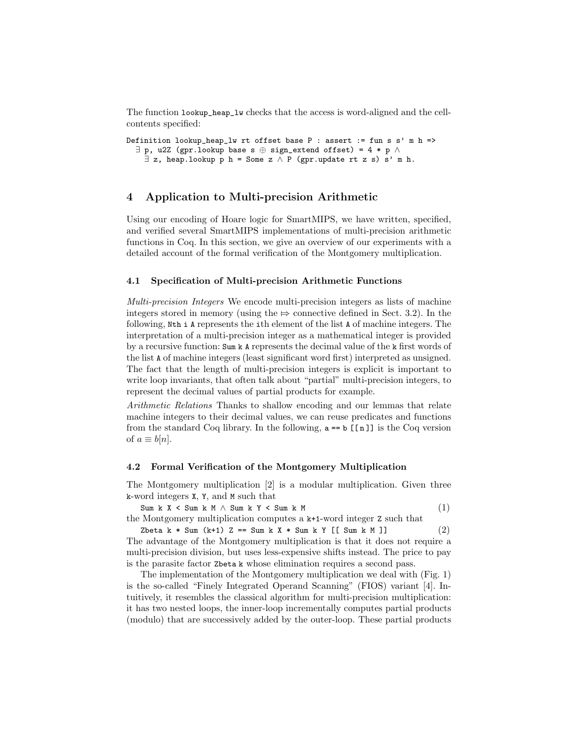The function lookup\_heap\_lw checks that the access is word-aligned and the cellcontents specified:

```
Definition lookup_heap_lw rt offset base P : assert := fun s s' m h =>
  \exists p, u2Z (gpr.lookup base s \oplus sign_extend offset) = 4 * p \wedge\exists z, heap.lookup p h = Some z \wedge P (gpr.update rt z s) s' m h.
```
### 4 Application to Multi-precision Arithmetic

Using our encoding of Hoare logic for SmartMIPS, we have written, specified, and verified several SmartMIPS implementations of multi-precision arithmetic functions in Coq. In this section, we give an overview of our experiments with a detailed account of the formal verification of the Montgomery multiplication.

#### 4.1 Specification of Multi-precision Arithmetic Functions

Multi-precision Integers We encode multi-precision integers as lists of machine integers stored in memory (using the  $\Rightarrow$  connective defined in Sect. 3.2). In the following, Nth i A represents the ith element of the list A of machine integers. The interpretation of a multi-precision integer as a mathematical integer is provided by a recursive function: Sum k A represents the decimal value of the k first words of the list A of machine integers (least significant word first) interpreted as unsigned. The fact that the length of multi-precision integers is explicit is important to write loop invariants, that often talk about "partial" multi-precision integers, to represent the decimal values of partial products for example.

Arithmetic Relations Thanks to shallow encoding and our lemmas that relate machine integers to their decimal values, we can reuse predicates and functions from the standard Coq library. In the following,  $a == b$  [[n]] is the Coq version of  $a \equiv b[n]$ .

#### 4.2 Formal Verification of the Montgomery Multiplication

The Montgomery multiplication [2] is a modular multiplication. Given three k-word integers X, Y, and M such that

Sum k X < Sum k M ∧ Sum k Y < Sum k M (1) the Montgomery multiplication computes a k+1-word integer Z such that

Zbeta k \* Sum (k+1) Z == Sum k X \* Sum k Y [[ Sum k M ]]  $(2)$ The advantage of the Montgomery multiplication is that it does not require a multi-precision division, but uses less-expensive shifts instead. The price to pay is the parasite factor Zbeta k whose elimination requires a second pass.

The implementation of the Montgomery multiplication we deal with (Fig. 1) is the so-called "Finely Integrated Operand Scanning" (FIOS) variant [4]. Intuitively, it resembles the classical algorithm for multi-precision multiplication: it has two nested loops, the inner-loop incrementally computes partial products (modulo) that are successively added by the outer-loop. These partial products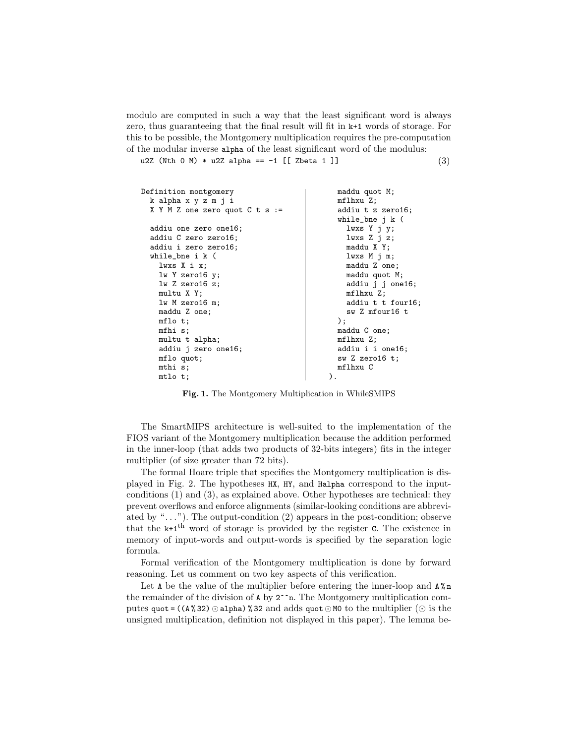modulo are computed in such a way that the least significant word is always zero, thus guaranteeing that the final result will fit in k+1 words of storage. For this to be possible, the Montgomery multiplication requires the pre-computation of the modular inverse alpha of the least significant word of the modulus:

```
u2Z (Nth 0 M) * u2Z alpha == -1 [[ Zbeta 1 ]] (3)
```

```
Definition montgomery
  k alpha x y z m j i
  X Y M Z one zero quot C t s :=
  addiu one zero one16;
  addiu C zero zero16;
  addiu i zero zero16;
  while bne i k (
    lwxs X i x;
    lw Y zero16 y;
    lw Z zero16 z;
    multu X Y;
    lw M zero16 m;
   maddu Z one;
   mflo t;
   mfhi s;
   multu t alpha;
    addiu j zero one16;
   mflo quot;
    mthi s;
    mtlo t;
                                              maddu quot M;
                                              mflhxu Z;
                                              addiu t z zero16;
                                              while_bne j k (
                                               lwxs Y j y;
                                                lwxs Z j z;
                                                maddu X Y;
                                               lwxs M j m;
                                                maddu Z one;
                                                maddu quot M;
                                                addiu j j one16;
                                                mflhxu Z;
                                                addiu t t four16;
                                                sw Z mfour16 t
                                              );
                                              maddu C one;
                                              mflhxu Z;
                                              addiu i i one16;
                                              sw Z zero16 t;
                                              mflhxu C
                                            ).
```
Fig. 1. The Montgomery Multiplication in WhileSMIPS

The SmartMIPS architecture is well-suited to the implementation of the FIOS variant of the Montgomery multiplication because the addition performed in the inner-loop (that adds two products of 32-bits integers) fits in the integer multiplier (of size greater than 72 bits).

The formal Hoare triple that specifies the Montgomery multiplication is displayed in Fig. 2. The hypotheses HX, HY, and Halpha correspond to the inputconditions (1) and (3), as explained above. Other hypotheses are technical: they prevent overflows and enforce alignments (similar-looking conditions are abbreviated by "..."). The output-condition (2) appears in the post-condition; observe that the  $k+1$ <sup>th</sup> word of storage is provided by the register C. The existence in memory of input-words and output-words is specified by the separation logic formula.

Formal verification of the Montgomery multiplication is done by forward reasoning. Let us comment on two key aspects of this verification.

Let A be the value of the multiplier before entering the inner-loop and  $\Lambda\%$ n the remainder of the division of A by 2^^n. The Montgomery multiplication computes quot =  $((A \& 32) \odot$  alpha) % 32 and adds quot  $\odot$  M0 to the multiplier ( $\odot$  is the unsigned multiplication, definition not displayed in this paper). The lemma be-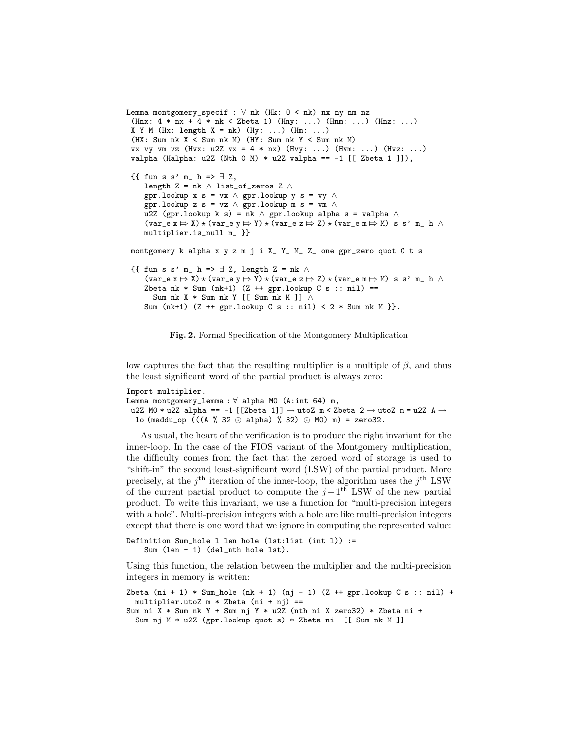```
Lemma montgomery_specif : \forall nk (Hk: 0 < nk) nx ny nm nz
 (Hnx: 4 * nx + 4 * nk < 2beta 1) (Hny: ...) (Hnm: ...) (Hnz: ...)X Y M (Hx: length X = nk) (Hy: ...) (Hm: ...)
 (HX: Sum nk X < Sum nk M) (HY: Sum nk Y < Sum nk M)
 vx vy vm vz (Hvx: u2Z vx = 4 * nx) (Hvy: ...) (Hvm: ...) (Hvz: ...)
 valpha (Halpha: u2Z (Nth 0 M) * u2Z valpha == -1 [[ Zbeta 1 ]]),
 {{ fun s s' m_ h => ∃ Z,
     length Z = nk \land list_of_zeros Z \landgpr.lookup x s = vx \land gpr.lookup y s = vy \landgpr.lookup z s = vz \land gpr.lookup m s = vm \landu2Z (gpr.lookup k s) = nk \land gpr.lookup alpha s = valpha \land(\texttt{var_e}\,\texttt{x} \Rightarrow \texttt{X}) \star (\texttt{var_e}\,\texttt{y} \Rightarrow \texttt{Y}) \star (\texttt{var_e}\,\texttt{z} \Rightarrow \texttt{Z}) \star (\texttt{var_e}\,\texttt{e}\;\texttt{m} \Rightarrow \texttt{M}) \texttt{s} \texttt{s'} \texttt{m} \texttt{n} \wedgemultiplier.is_null m_ }}
 montgomery k alpha x y z m j i X_ Y_ M_ Z_ one gpr_zero quot C t s
 {f \{ \text{fun } s s' m_ h \Rightarrow \exists Z, \text{ length } Z = nk \land \}(\text{var}_e \times \Rightarrow \text{X}) \star (\text{var}_e \text{y} \Rightarrow \text{Y}) \star (\text{var}_e \text{z} \Rightarrow \text{Z}) \star (\text{var}_e \text{m} \Rightarrow \text{M}) \text{ s s'} \text{m} h \wedgeZbeta nk * Sum (nk+1) (Z ++ gpr.lookup C s :: nil) ==
        Sum nk X * Sum nk Y [[ Sum nk M ]] ∧
     Sum (nk+1) (Z + f) gpr.lookup C s :: nil (2 * Sumnk M).
```


low captures the fact that the resulting multiplier is a multiple of  $\beta$ , and thus the least significant word of the partial product is always zero:

```
Import multiplier.
Lemma montgomery_lemma : ∀ alpha M0 (A:int 64) m,
 u2Z M0 * u2Z alpha == -1 [[Zbeta 1]] \rightarrow utoZ m < Zbeta 2 \rightarrow utoZ m = u2Z A \rightarrowlo (maddu_op ((A \text{ % } 32 \odot \text{ alpha}) \text{ % } 32) \odot M0) m) = zero32.
```
As usual, the heart of the verification is to produce the right invariant for the inner-loop. In the case of the FIOS variant of the Montgomery multiplication, the difficulty comes from the fact that the zeroed word of storage is used to "shift-in" the second least-significant word (LSW) of the partial product. More precisely, at the  $j^{\text{th}}$  iteration of the inner-loop, the algorithm uses the  $j^{\text{th}}$  LSW of the current partial product to compute the  $j-1$ <sup>th</sup> LSW of the new partial product. To write this invariant, we use a function for "multi-precision integers with a hole". Multi-precision integers with a hole are like multi-precision integers except that there is one word that we ignore in computing the represented value:

```
Definition Sum_hole l len hole (lst:list (int l)) :=
    Sum (len - 1) (del_nth hole lst).
```
Using this function, the relation between the multiplier and the multi-precision integers in memory is written:

```
Zbeta (ni + 1) * Sum_hole (nk + 1) (nj - 1) (Z ++ gpr.lookup C s :: nil) +
 multiplier.utoZ m * Zbeta (ni + nj) ==
Sum ni X * Sum nk Y + Sum nj Y * u2Z (nth ni X zero32) * Zbeta ni +
 Sum nj M * u2Z (gpr.lookup quot s) * Zbeta ni [[ Sum nk M ]]
```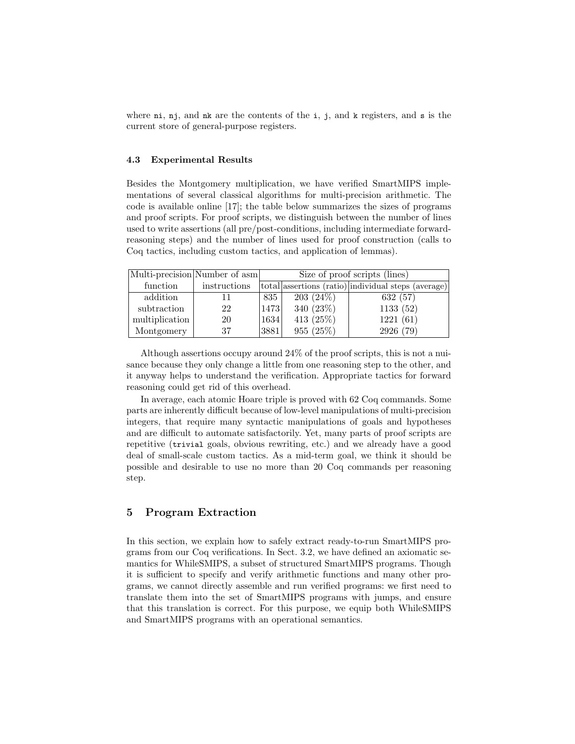where  $ni$ ,  $nj$ , and  $nk$  are the contents of the i, j, and  $k$  registers, and  $s$  is the current store of general-purpose registers.

### 4.3 Experimental Results

Besides the Montgomery multiplication, we have verified SmartMIPS implementations of several classical algorithms for multi-precision arithmetic. The code is available online [17]; the table below summarizes the sizes of programs and proof scripts. For proof scripts, we distinguish between the number of lines used to write assertions (all pre/post-conditions, including intermediate forwardreasoning steps) and the number of lines used for proof construction (calls to Coq tactics, including custom tactics, and application of lemmas).

| Multi-precision Number of asm |              | Size of proof scripts (lines) |             |                                                     |
|-------------------------------|--------------|-------------------------------|-------------|-----------------------------------------------------|
| function                      | instructions |                               |             | total assertions (ratio) individual steps (average) |
| addition                      |              | 835                           | $203(24\%)$ | 632 (57)                                            |
| subtraction                   | 22           | 1473                          | 340 (23%)   | 1133(52)                                            |
| multiplication                | 20           | 1634                          | 413 $(25%)$ | 1221(61)                                            |
| Montgomery                    | 37           | 3881                          | 955 (25%)   | 2926 (79)                                           |

Although assertions occupy around 24% of the proof scripts, this is not a nuisance because they only change a little from one reasoning step to the other, and it anyway helps to understand the verification. Appropriate tactics for forward reasoning could get rid of this overhead.

In average, each atomic Hoare triple is proved with 62 Coq commands. Some parts are inherently difficult because of low-level manipulations of multi-precision integers, that require many syntactic manipulations of goals and hypotheses and are difficult to automate satisfactorily. Yet, many parts of proof scripts are repetitive (trivial goals, obvious rewriting, etc.) and we already have a good deal of small-scale custom tactics. As a mid-term goal, we think it should be possible and desirable to use no more than 20 Coq commands per reasoning step.

### 5 Program Extraction

In this section, we explain how to safely extract ready-to-run SmartMIPS programs from our Coq verifications. In Sect. 3.2, we have defined an axiomatic semantics for WhileSMIPS, a subset of structured SmartMIPS programs. Though it is sufficient to specify and verify arithmetic functions and many other programs, we cannot directly assemble and run verified programs: we first need to translate them into the set of SmartMIPS programs with jumps, and ensure that this translation is correct. For this purpose, we equip both WhileSMIPS and SmartMIPS programs with an operational semantics.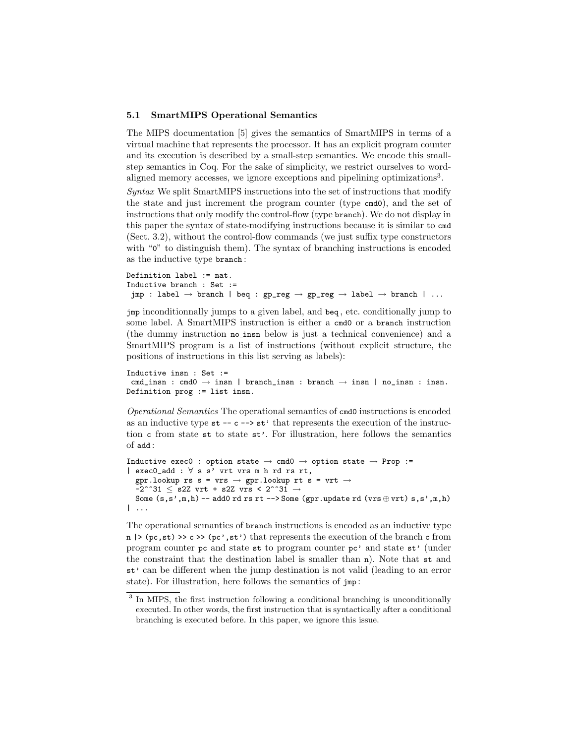### 5.1 SmartMIPS Operational Semantics

The MIPS documentation [5] gives the semantics of SmartMIPS in terms of a virtual machine that represents the processor. It has an explicit program counter and its execution is described by a small-step semantics. We encode this smallstep semantics in Coq. For the sake of simplicity, we restrict ourselves to wordaligned memory accesses, we ignore exceptions and pipelining optimizations<sup>3</sup>.

Syntax We split SmartMIPS instructions into the set of instructions that modify the state and just increment the program counter (type cmd0), and the set of instructions that only modify the control-flow (type branch). We do not display in this paper the syntax of state-modifying instructions because it is similar to cmd (Sect. 3.2), without the control-flow commands (we just suffix type constructors with "0" to distinguish them). The syntax of branching instructions is encoded as the inductive type branch :

```
Definition label := nat.
Inductive branch : Set :=
  \mathtt{jmp} \, : \, \mathtt{label} \, \, \rightarrow \, \mathtt{branch} \, \, | \, \mathtt{beg} \, : \, \mathtt{gp\_reg} \, \rightarrow \, \mathtt{gp\_reg} \, \rightarrow \, \mathtt{label} \, \, \rightarrow \, \mathtt{branch} \, \, | \, \, \ldots
```
jmp inconditionnally jumps to a given label, and beq , etc. conditionally jump to some label. A SmartMIPS instruction is either a cmd0 or a branch instruction (the dummy instruction no insn below is just a technical convenience) and a SmartMIPS program is a list of instructions (without explicit structure, the positions of instructions in this list serving as labels):

```
Inductive insn : Set :=
cmd_insn : cmd0 \rightarrow insn | branch_insn : branch \rightarrow insn | no_insn : insn.
Definition prog := list insn.
```
Operational Semantics The operational semantics of cmd0 instructions is encoded as an inductive type  $st -- c --$  st' that represents the execution of the instruction c from state st to state  $st'$ . For illustration, here follows the semantics of add :

```
Inductive exec0 : option state \rightarrow cmd0 \rightarrow option state \rightarrow Prop :=
| exec0_add : ∀ s s' vrt vrs m h rd rs rt,
  gpr.lookup rs s = vrs \rightarrow gpr.lookup rt s = vrt \rightarrow-2^{\circ}31 < s2Z vrt + s2Z vrs < 2^^31 \rightarrowSome (s,s',m,h) -- add0 rd rs rt --> Some (gpr.update rd (vrs \oplus vrt) s,s',m,h)
| ...
```
The operational semantics of branch instructions is encoded as an inductive type  $n \geq (pc, st) \geq c \geq (pc', st')$  that represents the execution of the branch c from program counter pc and state st to program counter pc' and state st' (under the constraint that the destination label is smaller than n). Note that st and st' can be different when the jump destination is not valid (leading to an error state). For illustration, here follows the semantics of  $jmp$ :

<sup>&</sup>lt;sup>3</sup> In MIPS, the first instruction following a conditional branching is unconditionally executed. In other words, the first instruction that is syntactically after a conditional branching is executed before. In this paper, we ignore this issue.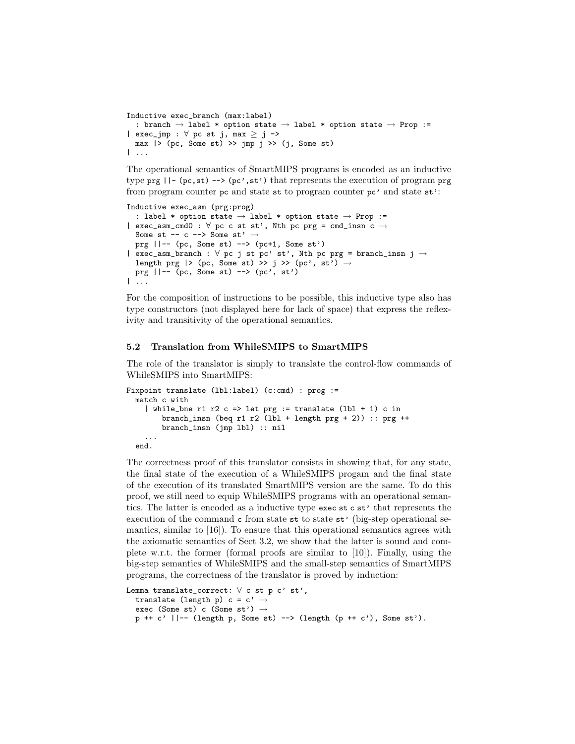```
Inductive exec_branch (max:label)
  : branch \rightarrow label * option state \rightarrow label * option state \rightarrow Prop :=
| exec_jmp : \forall pc st j, max \geq j ->
  max |>(pc, Some st) \gg jmp j \gg (j, Some st)| ...
```
The operational semantics of SmartMIPS programs is encoded as an inductive type  $\text{prg } \left( \left| \cdot \right| \left( \text{pc, st} \right) \right)$  --> (pc', st') that represents the execution of program  $\text{prg}$ from program counter pc and state st to program counter pc' and state st':

```
Inductive exec_asm (prg:prog)
  : label * option state \rightarrow label * option state \rightarrow Prop :=
| exec_asm_cmd0 : \forall pc c st st', Nth pc prg = cmd_insn c \rightarrowSome st -- c --> Some st' \rightarrowprg ||-- (pc, Some st) --> (pc+1, Some st')
| exec_asm_branch : \forall pc j st pc' st', Nth pc prg = branch_insn j \rightarrowlength prg |>(pc, Some st) > j >> (pc', st') \rightarrowprg ||-- (pc, Some st) --> (pc', st')
| ...
```
For the composition of instructions to be possible, this inductive type also has type constructors (not displayed here for lack of space) that express the reflexivity and transitivity of the operational semantics.

### 5.2 Translation from WhileSMIPS to SmartMIPS

The role of the translator is simply to translate the control-flow commands of WhileSMIPS into SmartMIPS:

```
Fixpoint translate (lbl:label) (c:cmd) : prog :=
 match c with
    | while_bne r1 r2 c => let prg := translate (lb1 + 1) c in
       branch_insn (beq r1 r2 (lbl + length prg + 2)) :: prg ++
       branch_insn (jmp lbl) :: nil
    ...
  end.
```
The correctness proof of this translator consists in showing that, for any state, the final state of the execution of a WhileSMIPS progam and the final state of the execution of its translated SmartMIPS version are the same. To do this proof, we still need to equip WhileSMIPS programs with an operational semantics. The latter is encoded as a inductive type exec st c st' that represents the execution of the command c from state st to state st' (big-step operational semantics, similar to  $[16]$ . To ensure that this operational semantics agrees with the axiomatic semantics of Sect 3.2, we show that the latter is sound and complete w.r.t. the former (formal proofs are similar to [10]). Finally, using the big-step semantics of WhileSMIPS and the small-step semantics of SmartMIPS programs, the correctness of the translator is proved by induction:

```
Lemma translate_correct: \forall c st p c' st',
  translate (length p) c = c' \rightarrowexec (Some st) c (Some st') \rightarrowp ++ c' ||-- (length p, Some st) --> (length (p ++ c'), Some st').
```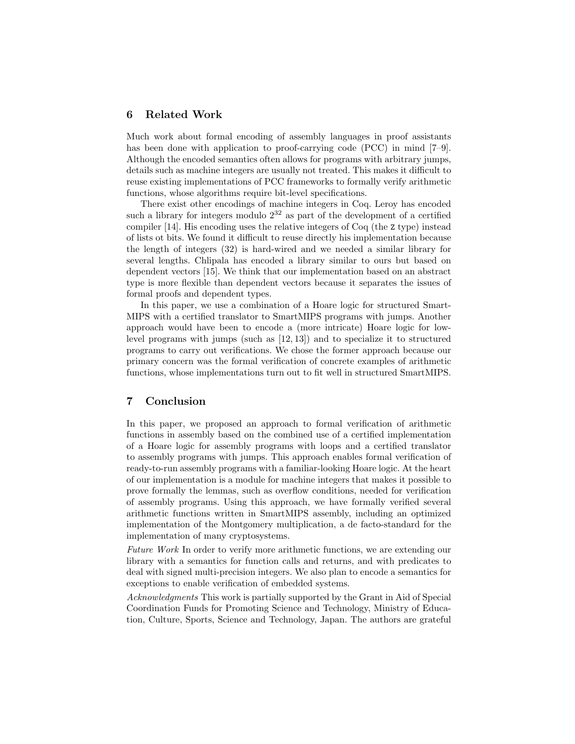# 6 Related Work

Much work about formal encoding of assembly languages in proof assistants has been done with application to proof-carrying code (PCC) in mind [7–9]. Although the encoded semantics often allows for programs with arbitrary jumps, details such as machine integers are usually not treated. This makes it difficult to reuse existing implementations of PCC frameworks to formally verify arithmetic functions, whose algorithms require bit-level specifications.

There exist other encodings of machine integers in Coq. Leroy has encoded such a library for integers modulo  $2^{32}$  as part of the development of a certified compiler [14]. His encoding uses the relative integers of Coq (the Z type) instead of lists ot bits. We found it difficult to reuse directly his implementation because the length of integers (32) is hard-wired and we needed a similar library for several lengths. Chlipala has encoded a library similar to ours but based on dependent vectors [15]. We think that our implementation based on an abstract type is more flexible than dependent vectors because it separates the issues of formal proofs and dependent types.

In this paper, we use a combination of a Hoare logic for structured Smart-MIPS with a certified translator to SmartMIPS programs with jumps. Another approach would have been to encode a (more intricate) Hoare logic for lowlevel programs with jumps (such as [12, 13]) and to specialize it to structured programs to carry out verifications. We chose the former approach because our primary concern was the formal verification of concrete examples of arithmetic functions, whose implementations turn out to fit well in structured SmartMIPS.

### 7 Conclusion

In this paper, we proposed an approach to formal verification of arithmetic functions in assembly based on the combined use of a certified implementation of a Hoare logic for assembly programs with loops and a certified translator to assembly programs with jumps. This approach enables formal verification of ready-to-run assembly programs with a familiar-looking Hoare logic. At the heart of our implementation is a module for machine integers that makes it possible to prove formally the lemmas, such as overflow conditions, needed for verification of assembly programs. Using this approach, we have formally verified several arithmetic functions written in SmartMIPS assembly, including an optimized implementation of the Montgomery multiplication, a de facto-standard for the implementation of many cryptosystems.

Future Work In order to verify more arithmetic functions, we are extending our library with a semantics for function calls and returns, and with predicates to deal with signed multi-precision integers. We also plan to encode a semantics for exceptions to enable verification of embedded systems.

Acknowledgments This work is partially supported by the Grant in Aid of Special Coordination Funds for Promoting Science and Technology, Ministry of Education, Culture, Sports, Science and Technology, Japan. The authors are grateful